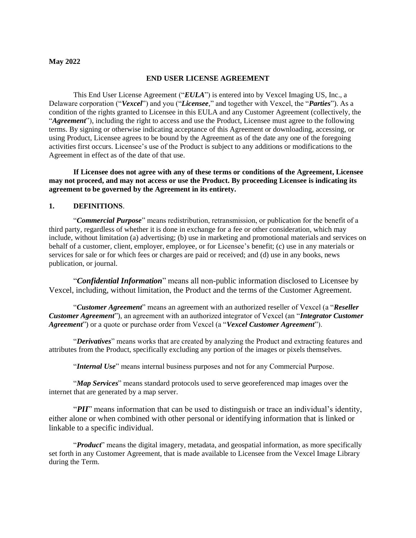### **May 2022**

#### **END USER LICENSE AGREEMENT**

This End User License Agreement ("*EULA*") is entered into by Vexcel Imaging US, Inc., a Delaware corporation ("*Vexcel*") and you ("*Licensee*," and together with Vexcel, the "*Parties*"). As a condition of the rights granted to Licensee in this EULA and any Customer Agreement (collectively, the "*Agreement*"), including the right to access and use the Product, Licensee must agree to the following terms. By signing or otherwise indicating acceptance of this Agreement or downloading, accessing, or using Product, Licensee agrees to be bound by the Agreement as of the date any one of the foregoing activities first occurs. Licensee's use of the Product is subject to any additions or modifications to the Agreement in effect as of the date of that use.

**If Licensee does not agree with any of these terms or conditions of the Agreement, Licensee may not proceed, and may not access or use the Product. By proceeding Licensee is indicating its agreement to be governed by the Agreement in its entirety.**

#### **1. DEFINITIONS**.

"*Commercial Purpose*" means redistribution, retransmission, or publication for the benefit of a third party, regardless of whether it is done in exchange for a fee or other consideration, which may include, without limitation (a) advertising; (b) use in marketing and promotional materials and services on behalf of a customer, client, employer, employee, or for Licensee's benefit; (c) use in any materials or services for sale or for which fees or charges are paid or received; and (d) use in any books, news publication, or journal.

"*Confidential Information*" means all non-public information disclosed to Licensee by Vexcel, including, without limitation, the Product and the terms of the Customer Agreement.

"*Customer Agreement*" means an agreement with an authorized reseller of Vexcel (a "*Reseller Customer Agreement*"), an agreement with an authorized integrator of Vexcel (an "*Integrator Customer Agreement*") or a quote or purchase order from Vexcel (a "*Vexcel Customer Agreement*").

"*Derivatives*" means works that are created by analyzing the Product and extracting features and attributes from the Product, specifically excluding any portion of the images or pixels themselves.

"*Internal Use*" means internal business purposes and not for any Commercial Purpose.

"*Map Services*" means standard protocols used to serve georeferenced map images over the internet that are generated by a map server.

"*PII*" means information that can be used to distinguish or trace an individual's identity, either alone or when combined with other personal or identifying information that is linked or linkable to a specific individual.

"*Product*" means the digital imagery, metadata, and geospatial information, as more specifically set forth in any Customer Agreement, that is made available to Licensee from the Vexcel Image Library during the Term.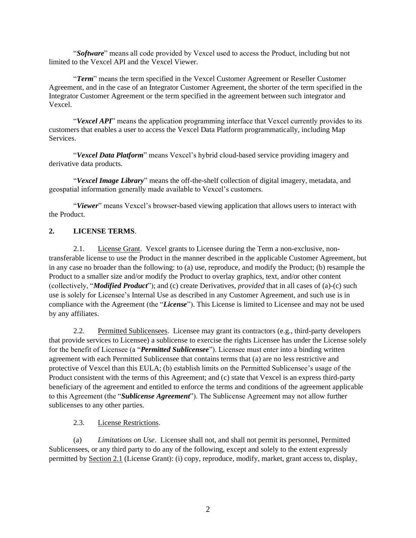"*Software*" means all code provided by Vexcel used to access the Product, including but not limited to the Vexcel API and the Vexcel Viewer.

"*Term*" means the term specified in the Vexcel Customer Agreement or Reseller Customer Agreement, and in the case of an Integrator Customer Agreement, the shorter of the term specified in the Integrator Customer Agreement or the term specified in the agreement between such integrator and Vexcel.

"*Vexcel API*" means the application programming interface that Vexcel currently provides to its customers that enables a user to access the Vexcel Data Platform programmatically, including Map Services.

"*Vexcel Data Platform*" means Vexcel's hybrid cloud-based service providing imagery and derivative data products.

"*Vexcel Image Library*" means the off-the-shelf collection of digital imagery, metadata, and geospatial information generally made available to Vexcel's customers.

"*Viewer*" means Vexcel's browser-based viewing application that allows users to interact with the Product.

## **2. LICENSE TERMS**.

2.1. License Grant. Vexcel grants to Licensee during the Term a non-exclusive, nontransferable license to use the Product in the manner described in the applicable Customer Agreement, but in any case no broader than the following: to (a) use, reproduce, and modify the Product; (b) resample the Product to a smaller size and/or modify the Product to overlay graphics, text, and/or other content (collectively, "*Modified Product*"); and (c) create Derivatives, *provided* that in all cases of (a)-(c) such use is solely for Licensee's Internal Use as described in any Customer Agreement, and such use is in compliance with the Agreement (the "*License*"). This License is limited to Licensee and may not be used by any affiliates.

2.2. Permitted Sublicensees. Licensee may grant its contractors (e.g., third-party developers that provide services to Licensee) a sublicense to exercise the rights Licensee has under the License solely for the benefit of Licensee (a "*Permitted Sublicensee*"). Licensee must enter into a binding written agreement with each Permitted Sublicensee that contains terms that (a) are no less restrictive and protective of Vexcel than this EULA; (b) establish limits on the Permitted Sublicensee's usage of the Product consistent with the terms of this Agreement; and (c) state that Vexcel is an express third-party beneficiary of the agreement and entitled to enforce the terms and conditions of the agreement applicable to this Agreement (the "*Sublicense Agreement*"). The Sublicense Agreement may not allow further sublicenses to any other parties.

### 2.3. License Restrictions.

(a) *Limitations on Use*. Licensee shall not, and shall not permit its personnel, Permitted Sublicensees, or any third party to do any of the following, except and solely to the extent expressly permitted by Section 2.1 (License Grant): (i) copy, reproduce, modify, market, grant access to, display,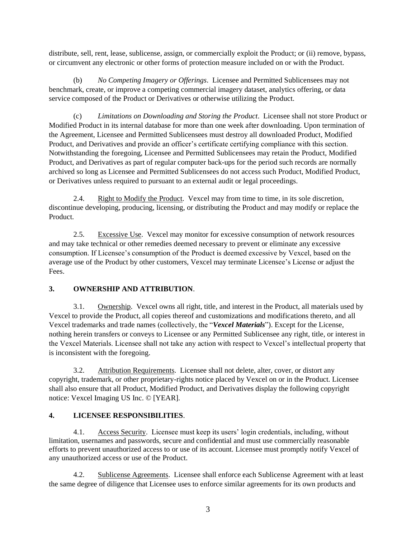distribute, sell, rent, lease, sublicense, assign, or commercially exploit the Product; or (ii) remove, bypass, or circumvent any electronic or other forms of protection measure included on or with the Product.

(b) *No Competing Imagery or Offerings*. Licensee and Permitted Sublicensees may not benchmark, create, or improve a competing commercial imagery dataset, analytics offering, or data service composed of the Product or Derivatives or otherwise utilizing the Product.

(c) *Limitations on Downloading and Storing the Product*. Licensee shall not store Product or Modified Product in its internal database for more than one week after downloading. Upon termination of the Agreement, Licensee and Permitted Sublicensees must destroy all downloaded Product, Modified Product, and Derivatives and provide an officer's certificate certifying compliance with this section. Notwithstanding the foregoing, Licensee and Permitted Sublicensees may retain the Product, Modified Product, and Derivatives as part of regular computer back-ups for the period such records are normally archived so long as Licensee and Permitted Sublicensees do not access such Product, Modified Product, or Derivatives unless required to pursuant to an external audit or legal proceedings.

2.4. Right to Modify the Product. Vexcel may from time to time, in its sole discretion, discontinue developing, producing, licensing, or distributing the Product and may modify or replace the Product.

2.5. Excessive Use. Vexcel may monitor for excessive consumption of network resources and may take technical or other remedies deemed necessary to prevent or eliminate any excessive consumption. If Licensee's consumption of the Product is deemed excessive by Vexcel, based on the average use of the Product by other customers, Vexcel may terminate Licensee's License or adjust the Fees.

# **3. OWNERSHIP AND ATTRIBUTION**.

3.1. Ownership. Vexcel owns all right, title, and interest in the Product, all materials used by Vexcel to provide the Product, all copies thereof and customizations and modifications thereto, and all Vexcel trademarks and trade names (collectively, the "*Vexcel Materials*"). Except for the License, nothing herein transfers or conveys to Licensee or any Permitted Sublicensee any right, title, or interest in the Vexcel Materials. Licensee shall not take any action with respect to Vexcel's intellectual property that is inconsistent with the foregoing.

3.2. Attribution Requirements. Licensee shall not delete, alter, cover, or distort any copyright, trademark, or other proprietary-rights notice placed by Vexcel on or in the Product. Licensee shall also ensure that all Product, Modified Product, and Derivatives display the following copyright notice: Vexcel Imaging US Inc. © [YEAR].

# **4. LICENSEE RESPONSIBILITIES**.

4.1. Access Security. Licensee must keep its users' login credentials, including, without limitation, usernames and passwords, secure and confidential and must use commercially reasonable efforts to prevent unauthorized access to or use of its account. Licensee must promptly notify Vexcel of any unauthorized access or use of the Product.

4.2. Sublicense Agreements. Licensee shall enforce each Sublicense Agreement with at least the same degree of diligence that Licensee uses to enforce similar agreements for its own products and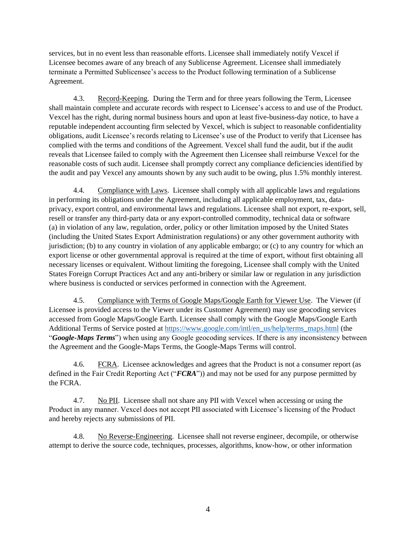services, but in no event less than reasonable efforts. Licensee shall immediately notify Vexcel if Licensee becomes aware of any breach of any Sublicense Agreement. Licensee shall immediately terminate a Permitted Sublicensee's access to the Product following termination of a Sublicense Agreement.

4.3. Record-Keeping. During the Term and for three years following the Term, Licensee shall maintain complete and accurate records with respect to Licensee's access to and use of the Product. Vexcel has the right, during normal business hours and upon at least five-business-day notice, to have a reputable independent accounting firm selected by Vexcel, which is subject to reasonable confidentiality obligations, audit Licensee's records relating to Licensee's use of the Product to verify that Licensee has complied with the terms and conditions of the Agreement. Vexcel shall fund the audit, but if the audit reveals that Licensee failed to comply with the Agreement then Licensee shall reimburse Vexcel for the reasonable costs of such audit. Licensee shall promptly correct any compliance deficiencies identified by the audit and pay Vexcel any amounts shown by any such audit to be owing, plus 1.5% monthly interest.

4.4. Compliance with Laws. Licensee shall comply with all applicable laws and regulations in performing its obligations under the Agreement, including all applicable employment, tax, dataprivacy, export control, and environmental laws and regulations. Licensee shall not export, re-export, sell, resell or transfer any third-party data or any export-controlled commodity, technical data or software (a) in violation of any law, regulation, order, policy or other limitation imposed by the United States (including the United States Export Administration regulations) or any other government authority with jurisdiction; (b) to any country in violation of any applicable embargo; or (c) to any country for which an export license or other governmental approval is required at the time of export, without first obtaining all necessary licenses or equivalent. Without limiting the foregoing, Licensee shall comply with the United States Foreign Corrupt Practices Act and any anti-bribery or similar law or regulation in any jurisdiction where business is conducted or services performed in connection with the Agreement.

4.5. Compliance with Terms of Google Maps/Google Earth for Viewer Use. The Viewer (if Licensee is provided access to the Viewer under its Customer Agreement) may use geocoding services accessed from Google Maps/Google Earth. Licensee shall comply with the Google Maps/Google Earth Additional Terms of Service posted a[t https://www.google.com/intl/en\\_us/help/terms\\_maps.html](https://www.google.com/intl/en_us/help/terms_maps.html) (the "*Google-Maps Terms*") when using any Google geocoding services. If there is any inconsistency between the Agreement and the Google-Maps Terms, the Google-Maps Terms will control.

4.6. FCRA. Licensee acknowledges and agrees that the Product is not a consumer report (as defined in the Fair Credit Reporting Act ("*FCRA*")) and may not be used for any purpose permitted by the FCRA.

4.7. No PII. Licensee shall not share any PII with Vexcel when accessing or using the Product in any manner. Vexcel does not accept PII associated with Licensee's licensing of the Product and hereby rejects any submissions of PII.

4.8. No Reverse-Engineering. Licensee shall not reverse engineer, decompile, or otherwise attempt to derive the source code, techniques, processes, algorithms, know-how, or other information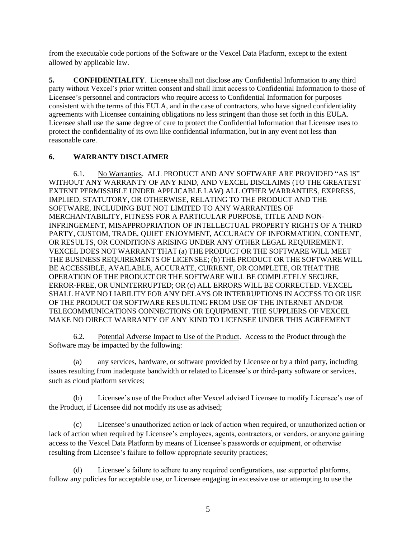from the executable code portions of the Software or the Vexcel Data Platform, except to the extent allowed by applicable law.

**5. CONFIDENTIALITY**. Licensee shall not disclose any Confidential Information to any third party without Vexcel's prior written consent and shall limit access to Confidential Information to those of Licensee's personnel and contractors who require access to Confidential Information for purposes consistent with the terms of this EULA, and in the case of contractors, who have signed confidentiality agreements with Licensee containing obligations no less stringent than those set forth in this EULA. Licensee shall use the same degree of care to protect the Confidential Information that Licensee uses to protect the confidentiality of its own like confidential information, but in any event not less than reasonable care.

# **6. WARRANTY DISCLAIMER**

6.1. No Warranties. ALL PRODUCT AND ANY SOFTWARE ARE PROVIDED "AS IS" WITHOUT ANY WARRANTY OF ANY KIND, AND VEXCEL DISCLAIMS (TO THE GREATEST EXTENT PERMISSIBLE UNDER APPLICABLE LAW) ALL OTHER WARRANTIES, EXPRESS, IMPLIED, STATUTORY, OR OTHERWISE, RELATING TO THE PRODUCT AND THE SOFTWARE, INCLUDING BUT NOT LIMITED TO ANY WARRANTIES OF MERCHANTABILITY, FITNESS FOR A PARTICULAR PURPOSE, TITLE AND NON-INFRINGEMENT, MISAPPROPRIATION OF INTELLECTUAL PROPERTY RIGHTS OF A THIRD PARTY, CUSTOM, TRADE, QUIET ENJOYMENT, ACCURACY OF INFORMATION, CONTENT, OR RESULTS, OR CONDITIONS ARISING UNDER ANY OTHER LEGAL REQUIREMENT. VEXCEL DOES NOT WARRANT THAT (a) THE PRODUCT OR THE SOFTWARE WILL MEET THE BUSINESS REQUIREMENTS OF LICENSEE; (b) THE PRODUCT OR THE SOFTWARE WILL BE ACCESSIBLE, AVAILABLE, ACCURATE, CURRENT, OR COMPLETE, OR THAT THE OPERATION OF THE PRODUCT OR THE SOFTWARE WILL BE COMPLETELY SECURE, ERROR-FREE, OR UNINTERRUPTED; OR (c) ALL ERRORS WILL BE CORRECTED. VEXCEL SHALL HAVE NO LIABILITY FOR ANY DELAYS OR INTERRUPTIONS IN ACCESS TO OR USE OF THE PRODUCT OR SOFTWARE RESULTING FROM USE OF THE INTERNET AND/OR TELECOMMUNICATIONS CONNECTIONS OR EQUIPMENT. THE SUPPLIERS OF VEXCEL MAKE NO DIRECT WARRANTY OF ANY KIND TO LICENSEE UNDER THIS AGREEMENT

6.2. Potential Adverse Impact to Use of the Product. Access to the Product through the Software may be impacted by the following:

(a) any services, hardware, or software provided by Licensee or by a third party, including issues resulting from inadequate bandwidth or related to Licensee's or third-party software or services, such as cloud platform services;

(b) Licensee's use of the Product after Vexcel advised Licensee to modify Licensee's use of the Product, if Licensee did not modify its use as advised;

(c) Licensee's unauthorized action or lack of action when required, or unauthorized action or lack of action when required by Licensee's employees, agents, contractors, or vendors, or anyone gaining access to the Vexcel Data Platform by means of Licensee's passwords or equipment, or otherwise resulting from Licensee's failure to follow appropriate security practices;

(d) Licensee's failure to adhere to any required configurations, use supported platforms, follow any policies for acceptable use, or Licensee engaging in excessive use or attempting to use the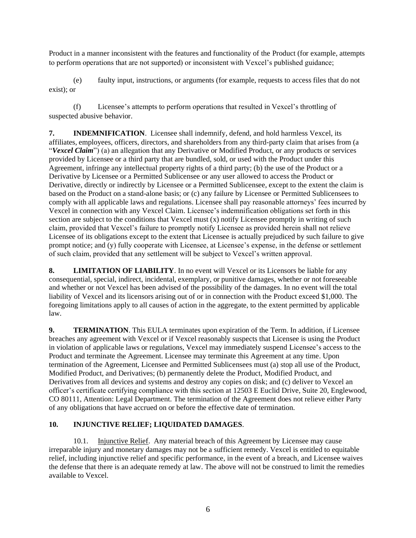Product in a manner inconsistent with the features and functionality of the Product (for example, attempts to perform operations that are not supported) or inconsistent with Vexcel's published guidance;

(e) faulty input, instructions, or arguments (for example, requests to access files that do not exist); or

(f) Licensee's attempts to perform operations that resulted in Vexcel's throttling of suspected abusive behavior.

**7. INDEMNIFICATION**. Licensee shall indemnify, defend, and hold harmless Vexcel, its affiliates, employees, officers, directors, and shareholders from any third-party claim that arises from (a "*Vexcel Claim*") (a) an allegation that any Derivative or Modified Product, or any products or services provided by Licensee or a third party that are bundled, sold, or used with the Product under this Agreement, infringe any intellectual property rights of a third party; (b) the use of the Product or a Derivative by Licensee or a Permitted Sublicensee or any user allowed to access the Product or Derivative, directly or indirectly by Licensee or a Permitted Sublicensee, except to the extent the claim is based on the Product on a stand-alone basis; or (c) any failure by Licensee or Permitted Sublicensees to comply with all applicable laws and regulations. Licensee shall pay reasonable attorneys' fees incurred by Vexcel in connection with any Vexcel Claim. Licensee's indemnification obligations set forth in this section are subject to the conditions that Vexcel must (x) notify Licensee promptly in writing of such claim, provided that Vexcel's failure to promptly notify Licensee as provided herein shall not relieve Licensee of its obligations except to the extent that Licensee is actually prejudiced by such failure to give prompt notice; and (y) fully cooperate with Licensee, at Licensee's expense, in the defense or settlement of such claim, provided that any settlement will be subject to Vexcel's written approval.

**8. LIMITATION OF LIABILITY**. In no event will Vexcel or its Licensors be liable for any consequential, special, indirect, incidental, exemplary, or punitive damages, whether or not foreseeable and whether or not Vexcel has been advised of the possibility of the damages. In no event will the total liability of Vexcel and its licensors arising out of or in connection with the Product exceed \$1,000. The foregoing limitations apply to all causes of action in the aggregate, to the extent permitted by applicable law.

**9. TERMINATION**. This EULA terminates upon expiration of the Term. In addition, if Licensee breaches any agreement with Vexcel or if Vexcel reasonably suspects that Licensee is using the Product in violation of applicable laws or regulations, Vexcel may immediately suspend Licensee's access to the Product and terminate the Agreement. Licensee may terminate this Agreement at any time. Upon termination of the Agreement, Licensee and Permitted Sublicensees must (a) stop all use of the Product, Modified Product, and Derivatives; (b) permanently delete the Product, Modified Product, and Derivatives from all devices and systems and destroy any copies on disk; and (c) deliver to Vexcel an officer's certificate certifying compliance with this section at 12503 E Euclid Drive, Suite 20, Englewood, CO 80111, Attention: Legal Department. The termination of the Agreement does not relieve either Party of any obligations that have accrued on or before the effective date of termination.

## **10. INJUNCTIVE RELIEF; LIQUIDATED DAMAGES**.

10.1. Injunctive Relief. Any material breach of this Agreement by Licensee may cause irreparable injury and monetary damages may not be a sufficient remedy. Vexcel is entitled to equitable relief, including injunctive relief and specific performance, in the event of a breach, and Licensee waives the defense that there is an adequate remedy at law. The above will not be construed to limit the remedies available to Vexcel.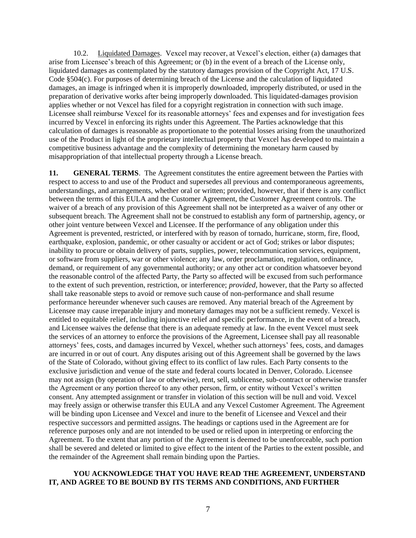10.2. Liquidated Damages. Vexcel may recover, at Vexcel's election, either (a) damages that arise from Licensee's breach of this Agreement; or (b) in the event of a breach of the License only, liquidated damages as contemplated by the statutory damages provision of the Copyright Act, 17 U.S. Code §504(c). For purposes of determining breach of the License and the calculation of liquidated damages, an image is infringed when it is improperly downloaded, improperly distributed, or used in the preparation of derivative works after being improperly downloaded. This liquidated-damages provision applies whether or not Vexcel has filed for a copyright registration in connection with such image. Licensee shall reimburse Vexcel for its reasonable attorneys' fees and expenses and for investigation fees incurred by Vexcel in enforcing its rights under this Agreement. The Parties acknowledge that this calculation of damages is reasonable as proportionate to the potential losses arising from the unauthorized use of the Product in light of the proprietary intellectual property that Vexcel has developed to maintain a competitive business advantage and the complexity of determining the monetary harm caused by misappropriation of that intellectual property through a License breach.

**11. GENERAL TERMS**. The Agreement constitutes the entire agreement between the Parties with respect to access to and use of the Product and supersedes all previous and contemporaneous agreements, understandings, and arrangements, whether oral or written; provided, however, that if there is any conflict between the terms of this EULA and the Customer Agreement, the Customer Agreement controls. The waiver of a breach of any provision of this Agreement shall not be interpreted as a waiver of any other or subsequent breach. The Agreement shall not be construed to establish any form of partnership, agency, or other joint venture between Vexcel and Licensee. If the performance of any obligation under this Agreement is prevented, restricted, or interfered with by reason of tornado, hurricane, storm, fire, flood, earthquake, explosion, pandemic, or other casualty or accident or act of God; strikes or labor disputes; inability to procure or obtain delivery of parts, supplies, power, telecommunication services, equipment, or software from suppliers, war or other violence; any law, order proclamation, regulation, ordinance, demand, or requirement of any governmental authority; or any other act or condition whatsoever beyond the reasonable control of the affected Party, the Party so affected will be excused from such performance to the extent of such prevention, restriction, or interference; *provided*, however, that the Party so affected shall take reasonable steps to avoid or remove such cause of non-performance and shall resume performance hereunder whenever such causes are removed. Any material breach of the Agreement by Licensee may cause irreparable injury and monetary damages may not be a sufficient remedy. Vexcel is entitled to equitable relief, including injunctive relief and specific performance, in the event of a breach, and Licensee waives the defense that there is an adequate remedy at law. In the event Vexcel must seek the services of an attorney to enforce the provisions of the Agreement, Licensee shall pay all reasonable attorneys' fees, costs, and damages incurred by Vexcel, whether such attorneys' fees, costs, and damages are incurred in or out of court. Any disputes arising out of this Agreement shall be governed by the laws of the State of Colorado, without giving effect to its conflict of law rules. Each Party consents to the exclusive jurisdiction and venue of the state and federal courts located in Denver, Colorado. Licensee may not assign (by operation of law or otherwise), rent, sell, sublicense, sub-contract or otherwise transfer the Agreement or any portion thereof to any other person, firm, or entity without Vexcel's written consent. Any attempted assignment or transfer in violation of this section will be null and void. Vexcel may freely assign or otherwise transfer this EULA and any Vexcel Customer Agreement. The Agreement will be binding upon Licensee and Vexcel and inure to the benefit of Licensee and Vexcel and their respective successors and permitted assigns. The headings or captions used in the Agreement are for reference purposes only and are not intended to be used or relied upon in interpreting or enforcing the Agreement. To the extent that any portion of the Agreement is deemed to be unenforceable, such portion shall be severed and deleted or limited to give effect to the intent of the Parties to the extent possible, and the remainder of the Agreement shall remain binding upon the Parties.

#### **YOU ACKNOWLEDGE THAT YOU HAVE READ THE AGREEMENT, UNDERSTAND IT, AND AGREE TO BE BOUND BY ITS TERMS AND CONDITIONS, AND FURTHER**